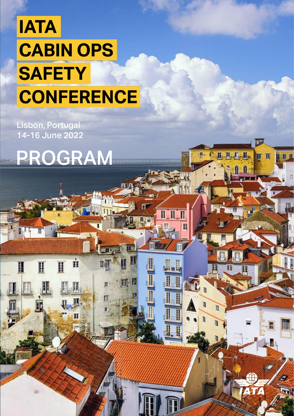Lisbon, Portugal 14-16 June 2022



Ė

Ц

H

H

Π

EC

111

叫

◫

E.

T

JП

 $\overline{\mathbf{m}}$ 

n n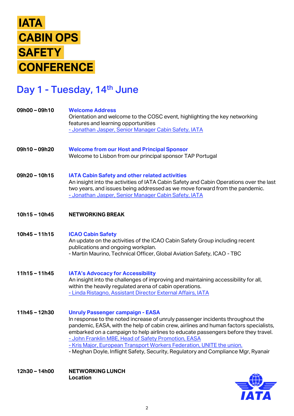## Day 1 - Tuesday, 14<sup>th</sup> June

**Welcome Address** Orientation and welcome to the COSC event, highlighting the key networking features and learning opportunities - [Jonathan Jasper, Senior Manager Cabin Safety, IATA](https://www.linkedin.com/in/jonathan-jasper/) **Welcome from our Host and Principal Sponsor** Welcome to Lisbon from our principal sponsor TAP Portugal **IATA Cabin Safety and other related activities**  An insight into the activities of IATA Cabin Safety and Cabin Operations over the last two years, and issues being addressed as we move forward from the pandemic. - [Jonathan Jasper, Senior Manager Cabin Safety, IATA](https://www.linkedin.com/in/jonathan-jasper/) **NETWORKING BREAK ICAO Cabin Safety** An update on the activities of the ICAO Cabin Safety Group including recent publications and ongoing workplan. - Martin Maurino, Technical Officer, Global Aviation Safety, ICAO - TBC **IATA's Advocacy for Accessibility** An insight into the challenges of improving and maintaining accessibility for all, within the heavily regulated arena of cabin operations. - [Linda Ristagno, Assistant Director External Affairs, IATA](https://www.linkedin.com/in/linda-ristagno-33912632/) **Unruly Passenger campaign - EASA** In response to the noted increase of unruly passenger incidents throughout the pandemic, EASA, with the help of cabin crew, airlines and human factors specialists, embarked on a campaign to help airlines to educate passengers before they travel. - [John Franklin MBE, Head of Safety Promotion, EASA](https://www.linkedin.com/in/john-franklin-mbe-02194a30/) **09h00 – 09h10 09h10 – 09h20 09h20 – 10h15 10h15 – 10h45 10h45 – 11h15 11h15 – 11h45 11h45 – 12h30**

- [Kris Major, European Transport Workers Federation, UNITE the union.](https://www.linkedin.com/in/kris-major-17451379/)

- Meghan Doyle, Inflight Safety, Security, Regulatory and Compliance Mgr, Ryanair

**NETWORKING LUNCH Location 12h30 – 14h00**

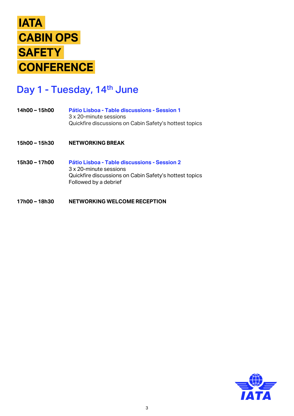

### Day 1 - Tuesday, 14<sup>th</sup> June

- **Pátio Lisboa - Table discussions - Session 1** 3 x 20-minute sessions Quickfire discussions on Cabin Safety's hottest topics **14h00 – 15h00**
- **NETWORKING BREAK 15h00 – 15h30**
- **Pátio Lisboa - Table discussions - Session 2** 3 x 20-minute sessions Quickfire discussions on Cabin Safety's hottest topics Followed by a debrief **15h30 – 17h00**
- **NETWORKING WELCOME RECEPTION 17h00 – 18h30**

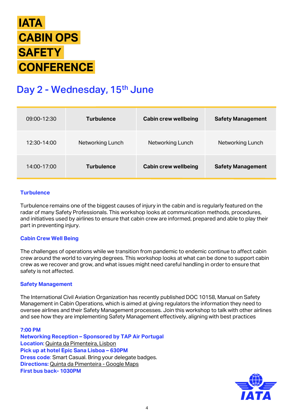

# Day 2 - Wednesday, 15<sup>th</sup> June

| 09:00-12:30 | <b>Turbulence</b> | <b>Cabin crew wellbeing</b> | <b>Safety Management</b> |
|-------------|-------------------|-----------------------------|--------------------------|
| 12:30-14:00 | Networking Lunch  | Networking Lunch            | Networking Lunch         |
| 14:00-17:00 | <b>Turbulence</b> | <b>Cabin crew wellbeing</b> | <b>Safety Management</b> |

#### **Turbulence**

Turbulence remains one of the biggest causes of injury in the cabin and is regularly featured on the radar of many Safety Professionals. This workshop looks at communication methods, procedures, and initiatives used by airlines to ensure that cabin crew are informed, prepared and able to play their part in preventing injury.

#### **Cabin Crew Well Being**

The challenges of operations while we transition from pandemic to endemic continue to affect cabin crew around the world to varying degrees. This workshop looks at what can be done to support cabin crew as we recover and grow, and what issues might need careful handling in order to ensure that safety is not affected.

#### **Safety Management**

The International Civil Aviation Organization has recently published DOC 10158, Manual on Safety Management in Cabin Operations, which is aimed at giving regulators the information they need to oversee airlines and their Safety Management processes. Join this workshop to talk with other airlines and see how they are implementing Safety Management effectively, aligning with best practices

**7:00 PM Networking Reception – Sponsored by TAP Air Portugal Location**: [Quinta da Pimenteira, Lisbon](https://www.quintadapimenteira.pt/) **Pick up at hotel Epic Sana Lisboa – 630PM Dress code**: Smart Casual. Bring your delegate badges. **Directions:** [Quinta da Pimenteira -](https://www.google.pt/maps/place/Quinta+da+Pimenteira/@38.7224138,-9.1816961,17z/data=!3m1!4b1!4m5!3m4!1s0xd1933c6a8df4157:0x960587d2565dd850!8m2!3d38.7224096!4d-9.1795074?hl=pt-PT) Google Maps **First bus back- 1030PM**

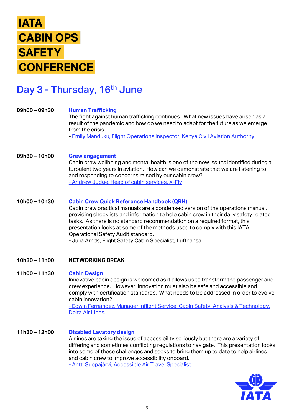### Day 3 - Thursday, 16<sup>th</sup> June

#### **Human Trafficking 09h00 – 09h30**

The fight against human trafficking continues. What new issues have arisen as a result of the pandemic and how do we need to adapt for the future as we emerge from the crisis.

- [Emily Manduku, Flight Operations Inspector, Kenya Civil Aviation Authority](https://www.linkedin.com/in/emilymanduku/)

#### **Crew engagement 09h30 – 10h00**

Cabin crew wellbeing and mental health is one of the new issues identified during a turbulent two years in aviation. How can we demonstrate that we are listening to and responding to concerns raised by our cabin crew? - [Andrew Judge, Head of cabin services, X-Fly](https://www.linkedin.com/in/andrewjudge/)

#### **Cabin Crew Quick Reference Handbook (QRH) 10h00 – 10h30**

Cabin crew practical manuals are a condensed version of the operations manual, providing checklists and information to help cabin crew in their daily safety related tasks. As there is no standard recommendation on a required format, this presentation looks at some of the methods used to comply with this IATA Operational Safety Audit standard. - Julia Arnds, Flight Safety Cabin Specialist, Lufthansa

#### **NETWORKING BREAK 10h30 – 11h00**

#### **Cabin Design 11h00 – 11h30**

Innovative cabin design is welcomed as it allows us to transform the passenger and crew experience. However, innovation must also be safe and accessible and comply with certification standards. What needs to be addressed in order to evolve cabin innovation?

- [Edwin Fernandez, Manager Inflight Service, Cabin Safety, Analysis & Technology,](https://www.linkedin.com/in/edwin-fernandez-a8b04424/)  Delta Air Lines.

#### **Disabled Lavatory design 11h30 – 12h00**

Airlines are taking the issue of accessibility seriously but there are a variety of differing and sometimes conflicting regulations to navigate. This presentation looks into some of these challenges and seeks to bring them up to date to help airlines and cabin crew to improve accessibility onboard.

- [Antti Suopajärvi, Accessible Air Travel Specialist](https://www.linkedin.com/in/anttisuopajarvi/)